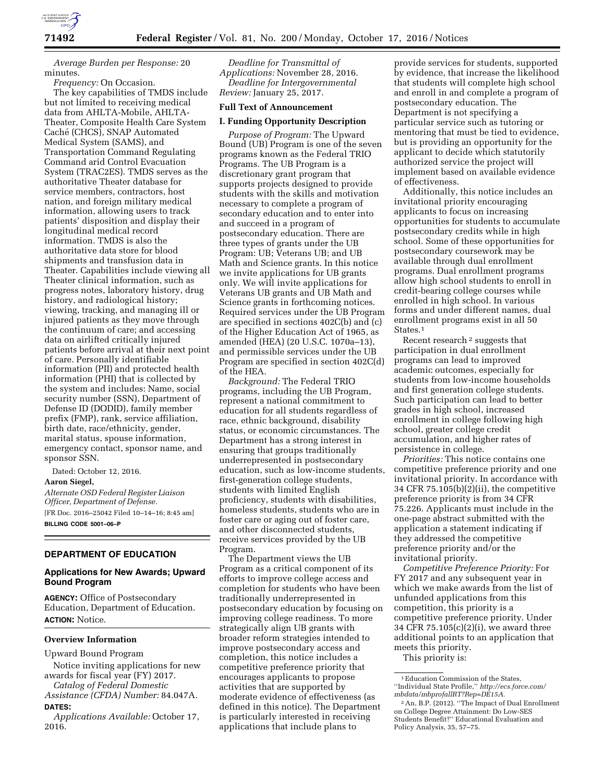

*Average Burden per Response:* 20 minutes.

*Frequency:* On Occasion. The key capabilities of TMDS include but not limited to receiving medical data from AHLTA-Mobile, AHLTA-Theater, Composite Health Care System Caché (CHCS), SNAP Automated Medical System (SAMS), and Transportation Command Regulating Command arid Control Evacuation System (TRAC2ES). TMDS serves as the authoritative Theater database for service members, contractors, host nation, and foreign military medical information, allowing users to track patients' disposition and display their longitudinal medical record information. TMDS is also the authoritative data store for blood shipments and transfusion data in Theater. Capabilities include viewing all Theater clinical information, such as progress notes, laboratory history, drug history, and radiological history; viewing, tracking, and managing ill or injured patients as they move through the continuum of care; and accessing data on airlifted critically injured patients before arrival at their next point of care. Personally identifiable information (PII) and protected health information (PHI) that is collected by the system and includes: Name, social security number (SSN), Department of Defense ID (DODID), family member prefix (FMP), rank, service affiliation, birth date, race/ethnicity, gender, marital status, spouse information, emergency contact, sponsor name, and sponsor SSN.

Dated: October 12, 2016. **Aaron Siegel,**  *Alternate OSD Federal Register Liaison Officer, Department of Defense.*  [FR Doc. 2016–25042 Filed 10–14–16; 8:45 am] **BILLING CODE 5001–06–P** 

## **DEPARTMENT OF EDUCATION**

## **Applications for New Awards; Upward Bound Program**

**AGENCY:** Office of Postsecondary Education, Department of Education. **ACTION:** Notice.

### **Overview Information**

Upward Bound Program

Notice inviting applications for new awards for fiscal year (FY) 2017.

*Catalog of Federal Domestic Assistance (CFDA) Number:* 84.047A.

### **DATES:**

*Applications Available:* October 17, 2016.

*Deadline for Transmittal of Applications:* November 28, 2016. *Deadline for Intergovernmental Review:* January 25, 2017.

### **Full Text of Announcement**

#### **I. Funding Opportunity Description**

*Purpose of Program:* The Upward Bound (UB) Program is one of the seven programs known as the Federal TRIO Programs. The UB Program is a discretionary grant program that supports projects designed to provide students with the skills and motivation necessary to complete a program of secondary education and to enter into and succeed in a program of postsecondary education. There are three types of grants under the UB Program: UB; Veterans UB; and UB Math and Science grants. In this notice we invite applications for UB grants only. We will invite applications for Veterans UB grants and UB Math and Science grants in forthcoming notices. Required services under the UB Program are specified in sections 402C(b) and (c) of the Higher Education Act of 1965, as amended (HEA) (20 U.S.C. 1070a–13), and permissible services under the UB Program are specified in section 402C(d) of the HEA.

*Background:* The Federal TRIO programs, including the UB Program, represent a national commitment to education for all students regardless of race, ethnic background, disability status, or economic circumstances. The Department has a strong interest in ensuring that groups traditionally underrepresented in postsecondary education, such as low-income students, first-generation college students, students with limited English proficiency, students with disabilities, homeless students, students who are in foster care or aging out of foster care, and other disconnected students, receive services provided by the UB Program.

The Department views the UB Program as a critical component of its efforts to improve college access and completion for students who have been traditionally underrepresented in postsecondary education by focusing on improving college readiness. To more strategically align UB grants with broader reform strategies intended to improve postsecondary access and completion, this notice includes a competitive preference priority that encourages applicants to propose activities that are supported by moderate evidence of effectiveness (as defined in this notice). The Department is particularly interested in receiving applications that include plans to

provide services for students, supported by evidence, that increase the likelihood that students will complete high school and enroll in and complete a program of postsecondary education. The Department is not specifying a particular service such as tutoring or mentoring that must be tied to evidence, but is providing an opportunity for the applicant to decide which statutorily authorized service the project will implement based on available evidence of effectiveness.

Additionally, this notice includes an invitational priority encouraging applicants to focus on increasing opportunities for students to accumulate postsecondary credits while in high school. Some of these opportunities for postsecondary coursework may be available through dual enrollment programs. Dual enrollment programs allow high school students to enroll in credit-bearing college courses while enrolled in high school. In various forms and under different names, dual enrollment programs exist in all 50 States.1

Recent research 2 suggests that participation in dual enrollment programs can lead to improved academic outcomes, especially for students from low-income households and first generation college students. Such participation can lead to better grades in high school, increased enrollment in college following high school, greater college credit accumulation, and higher rates of persistence in college.

*Priorities:* This notice contains one competitive preference priority and one invitational priority. In accordance with 34 CFR 75.105(b)(2)(ii), the competitive preference priority is from 34 CFR 75.226. Applicants must include in the one-page abstract submitted with the application a statement indicating if they addressed the competitive preference priority and/or the invitational priority.

*Competitive Preference Priority:* For FY 2017 and any subsequent year in which we make awards from the list of unfunded applications from this competition, this priority is a competitive preference priority. Under 34 CFR 75.105(c)(2)(i), we award three additional points to an application that meets this priority.

This priority is:

<sup>1</sup>Education Commission of the States, ''Individual State Profile,'' *[http://ecs.force.com/](http://ecs.force.com/mbdata/mbprofallRT?Rep=DE15A)  [mbdata/mbprofallRT?Rep=DE15A.](http://ecs.force.com/mbdata/mbprofallRT?Rep=DE15A)* 

<sup>2</sup>An, B.P. (2012). ''The Impact of Dual Enrollment on College Degree Attainment: Do Low-SES Students Benefit?'' Educational Evaluation and Policy Analysis, 35, 57–75.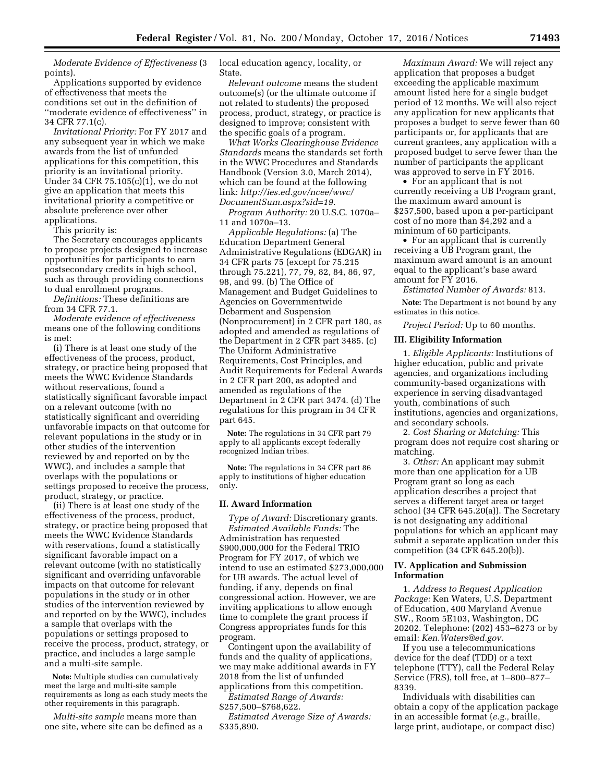*Moderate Evidence of Effectiveness* (3 points).

Applications supported by evidence of effectiveness that meets the conditions set out in the definition of ''moderate evidence of effectiveness'' in 34 CFR 77.1(c).

*Invitational Priority:* For FY 2017 and any subsequent year in which we make awards from the list of unfunded applications for this competition, this priority is an invitational priority. Under 34 CFR 75.105(c)(1), we do not give an application that meets this invitational priority a competitive or absolute preference over other applications.

This priority is:

The Secretary encourages applicants to propose projects designed to increase opportunities for participants to earn postsecondary credits in high school, such as through providing connections to dual enrollment programs.

*Definitions:* These definitions are from 34 CFR 77.1.

*Moderate evidence of effectiveness*  means one of the following conditions is met:

(i) There is at least one study of the effectiveness of the process, product, strategy, or practice being proposed that meets the WWC Evidence Standards without reservations, found a statistically significant favorable impact on a relevant outcome (with no statistically significant and overriding unfavorable impacts on that outcome for relevant populations in the study or in other studies of the intervention reviewed by and reported on by the WWC), and includes a sample that overlaps with the populations or settings proposed to receive the process, product, strategy, or practice.

(ii) There is at least one study of the effectiveness of the process, product, strategy, or practice being proposed that meets the WWC Evidence Standards with reservations, found a statistically significant favorable impact on a relevant outcome (with no statistically significant and overriding unfavorable impacts on that outcome for relevant populations in the study or in other studies of the intervention reviewed by and reported on by the WWC), includes a sample that overlaps with the populations or settings proposed to receive the process, product, strategy, or practice, and includes a large sample and a multi-site sample.

**Note:** Multiple studies can cumulatively meet the large and multi-site sample requirements as long as each study meets the other requirements in this paragraph.

*Multi-site sample* means more than one site, where site can be defined as a local education agency, locality, or State.

*Relevant outcome* means the student outcome(s) (or the ultimate outcome if not related to students) the proposed process, product, strategy, or practice is designed to improve; consistent with the specific goals of a program.

*What Works Clearinghouse Evidence Standards* means the standards set forth in the WWC Procedures and Standards Handbook (Version 3.0, March 2014), which can be found at the following link: *[http://ies.ed.gov/ncee/wwc/](http://ies.ed.gov/ncee/wwc/DocumentSum.aspx?sid=19) [DocumentSum.aspx?sid=19.](http://ies.ed.gov/ncee/wwc/DocumentSum.aspx?sid=19)* 

*Program Authority:* 20 U.S.C. 1070a– 11 and 1070a–13.

*Applicable Regulations:* (a) The Education Department General Administrative Regulations (EDGAR) in 34 CFR parts 75 (except for 75.215 through 75.221), 77, 79, 82, 84, 86, 97, 98, and 99. (b) The Office of Management and Budget Guidelines to Agencies on Governmentwide Debarment and Suspension (Nonprocurement) in 2 CFR part 180, as adopted and amended as regulations of the Department in 2 CFR part 3485. (c) The Uniform Administrative Requirements, Cost Principles, and Audit Requirements for Federal Awards in 2 CFR part 200, as adopted and amended as regulations of the Department in 2 CFR part 3474. (d) The regulations for this program in 34 CFR part 645.

**Note:** The regulations in 34 CFR part 79 apply to all applicants except federally recognized Indian tribes.

**Note:** The regulations in 34 CFR part 86 apply to institutions of higher education only.

### **II. Award Information**

*Type of Award:* Discretionary grants. *Estimated Available Funds:* The Administration has requested \$900,000,000 for the Federal TRIO Program for FY 2017, of which we intend to use an estimated \$273,000,000 for UB awards. The actual level of funding, if any, depends on final congressional action. However, we are inviting applications to allow enough time to complete the grant process if Congress appropriates funds for this program.

Contingent upon the availability of funds and the quality of applications, we may make additional awards in FY 2018 from the list of unfunded applications from this competition.

*Estimated Range of Awards:*  \$257,500–\$768,622.

*Estimated Average Size of Awards:*  \$335,890.

*Maximum Award:* We will reject any application that proposes a budget exceeding the applicable maximum amount listed here for a single budget period of 12 months. We will also reject any application for new applicants that proposes a budget to serve fewer than 60 participants or, for applicants that are current grantees, any application with a proposed budget to serve fewer than the number of participants the applicant was approved to serve in FY 2016.

• For an applicant that is not currently receiving a UB Program grant, the maximum award amount is \$257,500, based upon a per-participant cost of no more than \$4,292 and a minimum of 60 participants.

• For an applicant that is currently receiving a UB Program grant, the maximum award amount is an amount equal to the applicant's base award amount for FY 2016.

*Estimated Number of Awards:* 813.

**Note:** The Department is not bound by any estimates in this notice.

*Project Period:* Up to 60 months.

## **III. Eligibility Information**

1. *Eligible Applicants:* Institutions of higher education, public and private agencies, and organizations including community-based organizations with experience in serving disadvantaged youth, combinations of such institutions, agencies and organizations, and secondary schools.

2. *Cost Sharing or Matching:* This program does not require cost sharing or matching.

3. *Other:* An applicant may submit more than one application for a UB Program grant so long as each application describes a project that serves a different target area or target school (34 CFR 645.20(a)). The Secretary is not designating any additional populations for which an applicant may submit a separate application under this competition (34 CFR 645.20(b)).

## **IV. Application and Submission Information**

1. *Address to Request Application Package:* Ken Waters, U.S. Department of Education, 400 Maryland Avenue SW., Room 5E103, Washington, DC 20202. Telephone: (202) 453–6273 or by email: *[Ken.Waters@ed.gov.](mailto:Ken.Waters@ed.gov)* 

If you use a telecommunications device for the deaf (TDD) or a text telephone (TTY), call the Federal Relay Service (FRS), toll free, at 1–800–877– 8339.

Individuals with disabilities can obtain a copy of the application package in an accessible format (*e.g.,* braille, large print, audiotape, or compact disc)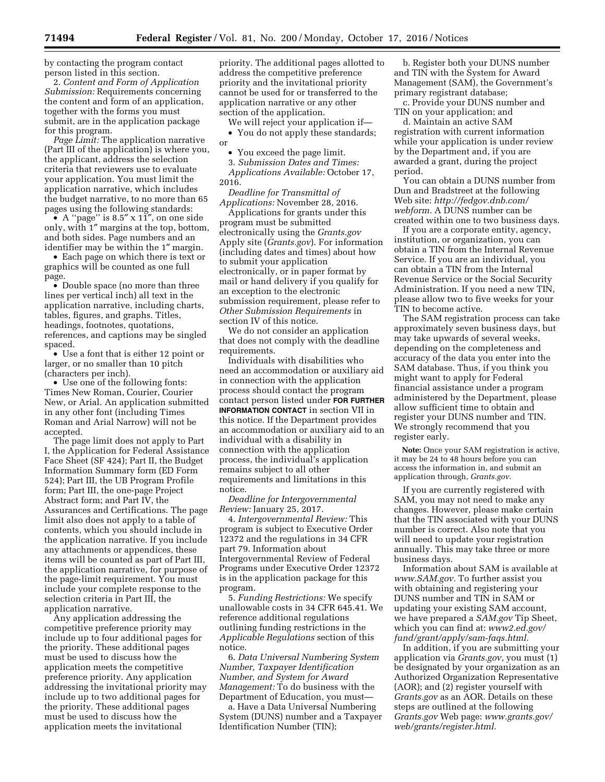by contacting the program contact person listed in this section.

2. *Content and Form of Application Submission:* Requirements concerning the content and form of an application, together with the forms you must submit, are in the application package for this program.

*Page Limit:* The application narrative (Part III of the application) is where you, the applicant, address the selection criteria that reviewers use to evaluate your application. You must limit the application narrative, which includes the budget narrative, to no more than 65 pages using the following standards:

• A "page" is  $8.5$ " x  $11$ ", on one side only, with 1″ margins at the top, bottom, and both sides. Page numbers and an identifier may be within the 1″ margin.

• Each page on which there is text or graphics will be counted as one full page.

• Double space (no more than three lines per vertical inch) all text in the application narrative, including charts, tables, figures, and graphs. Titles, headings, footnotes, quotations, references, and captions may be singled spaced.

• Use a font that is either 12 point or larger, or no smaller than 10 pitch (characters per inch).

• Use one of the following fonts: Times New Roman, Courier, Courier New, or Arial. An application submitted in any other font (including Times Roman and Arial Narrow) will not be accepted.

The page limit does not apply to Part I, the Application for Federal Assistance Face Sheet (SF 424); Part II, the Budget Information Summary form (ED Form 524); Part III, the UB Program Profile form; Part III, the one-page Project Abstract form; and Part IV, the Assurances and Certifications. The page limit also does not apply to a table of contents, which you should include in the application narrative. If you include any attachments or appendices, these items will be counted as part of Part III, the application narrative, for purpose of the page-limit requirement. You must include your complete response to the selection criteria in Part III, the application narrative.

Any application addressing the competitive preference priority may include up to four additional pages for the priority. These additional pages must be used to discuss how the application meets the competitive preference priority. Any application addressing the invitational priority may include up to two additional pages for the priority. These additional pages must be used to discuss how the application meets the invitational

priority. The additional pages allotted to address the competitive preference priority and the invitational priority cannot be used for or transferred to the application narrative or any other section of the application.

We will reject your application if—

• You do not apply these standards; or

• You exceed the page limit.

3. *Submission Dates and Times: Applications Available:* October 17, 2016.

*Deadline for Transmittal of Applications:* November 28, 2016.

Applications for grants under this program must be submitted electronically using the *Grants.gov*  Apply site (*Grants.gov*). For information (including dates and times) about how to submit your application electronically, or in paper format by mail or hand delivery if you qualify for an exception to the electronic submission requirement, please refer to *Other Submission Requirements* in section IV of this notice.

We do not consider an application that does not comply with the deadline requirements.

Individuals with disabilities who need an accommodation or auxiliary aid in connection with the application process should contact the program contact person listed under **FOR FURTHER INFORMATION CONTACT** in section VII in this notice. If the Department provides an accommodation or auxiliary aid to an individual with a disability in connection with the application process, the individual's application remains subject to all other requirements and limitations in this notice.

*Deadline for Intergovernmental Review:* January 25, 2017.

4. *Intergovernmental Review:* This program is subject to Executive Order 12372 and the regulations in 34 CFR part 79. Information about Intergovernmental Review of Federal Programs under Executive Order 12372 is in the application package for this program.

5. *Funding Restrictions:* We specify unallowable costs in 34 CFR 645.41. We reference additional regulations outlining funding restrictions in the *Applicable Regulations* section of this notice.

6. *Data Universal Numbering System Number, Taxpayer Identification Number, and System for Award Management:* To do business with the Department of Education, you must—

a. Have a Data Universal Numbering System (DUNS) number and a Taxpayer Identification Number (TIN);

b. Register both your DUNS number and TIN with the System for Award Management (SAM), the Government's primary registrant database;

c. Provide your DUNS number and TIN on your application; and

d. Maintain an active SAM registration with current information while your application is under review by the Department and, if you are awarded a grant, during the project period.

You can obtain a DUNS number from Dun and Bradstreet at the following Web site: *[http://fedgov.dnb.com/](http://fedgov.dnb.com/webform) [webform.](http://fedgov.dnb.com/webform)* A DUNS number can be created within one to two business days.

If you are a corporate entity, agency, institution, or organization, you can obtain a TIN from the Internal Revenue Service. If you are an individual, you can obtain a TIN from the Internal Revenue Service or the Social Security Administration. If you need a new TIN, please allow two to five weeks for your TIN to become active.

The SAM registration process can take approximately seven business days, but may take upwards of several weeks, depending on the completeness and accuracy of the data you enter into the SAM database. Thus, if you think you might want to apply for Federal financial assistance under a program administered by the Department, please allow sufficient time to obtain and register your DUNS number and TIN. We strongly recommend that you register early.

**Note:** Once your SAM registration is active, it may be 24 to 48 hours before you can access the information in, and submit an application through, *Grants.gov*.

If you are currently registered with SAM, you may not need to make any changes. However, please make certain that the TIN associated with your DUNS number is correct. Also note that you will need to update your registration annually. This may take three or more business days.

Information about SAM is available at *[www.SAM.gov.](http://www.SAM.gov)* To further assist you with obtaining and registering your DUNS number and TIN in SAM or updating your existing SAM account, we have prepared a *SAM.gov* Tip Sheet, which you can find at: *[www2.ed.gov/](http://www2.ed.gov/fund/grant/apply/sam-faqs.html) [fund/grant/apply/sam-faqs.html.](http://www2.ed.gov/fund/grant/apply/sam-faqs.html)* 

In addition, if you are submitting your application via *Grants.gov*, you must (1) be designated by your organization as an Authorized Organization Representative (AOR); and (2) register yourself with *Grants.gov* as an AOR. Details on these steps are outlined at the following *Grants.gov* Web page: *[www.grants.gov/](http://www.grants.gov/web/grants/register.html) [web/grants/register.html.](http://www.grants.gov/web/grants/register.html)*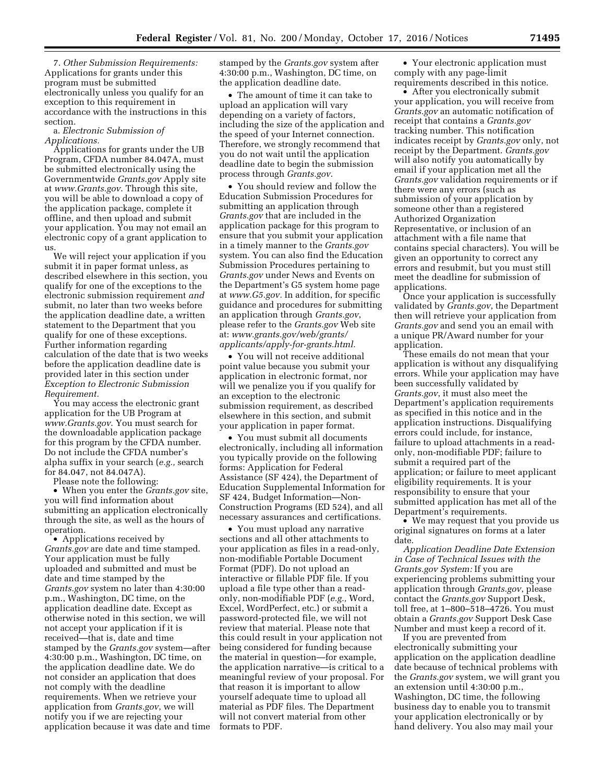7. *Other Submission Requirements:*  Applications for grants under this program must be submitted electronically unless you qualify for an exception to this requirement in accordance with the instructions in this section.

## a. *Electronic Submission of Applications.*

Applications for grants under the UB Program, CFDA number 84.047A, must be submitted electronically using the Governmentwide *Grants.gov* Apply site at *[www.Grants.gov](http://www.Grants.gov)*. Through this site, you will be able to download a copy of the application package, complete it offline, and then upload and submit your application. You may not email an electronic copy of a grant application to us.

We will reject your application if you submit it in paper format unless, as described elsewhere in this section, you qualify for one of the exceptions to the electronic submission requirement *and*  submit, no later than two weeks before the application deadline date, a written statement to the Department that you qualify for one of these exceptions. Further information regarding calculation of the date that is two weeks before the application deadline date is provided later in this section under *Exception to Electronic Submission Requirement.* 

You may access the electronic grant application for the UB Program at *[www.Grants.gov](http://www.Grants.gov)*. You must search for the downloadable application package for this program by the CFDA number. Do not include the CFDA number's alpha suffix in your search (*e.g.,* search for 84.047, not 84.047A).

Please note the following:

• When you enter the *Grants.gov* site, you will find information about submitting an application electronically through the site, as well as the hours of operation.

• Applications received by *Grants.gov* are date and time stamped. Your application must be fully uploaded and submitted and must be date and time stamped by the *Grants.gov* system no later than 4:30:00 p.m., Washington, DC time, on the application deadline date. Except as otherwise noted in this section, we will not accept your application if it is received—that is, date and time stamped by the *Grants.gov* system—after 4:30:00 p.m., Washington, DC time, on the application deadline date. We do not consider an application that does not comply with the deadline requirements. When we retrieve your application from *Grants.gov*, we will notify you if we are rejecting your application because it was date and time stamped by the *Grants.gov* system after 4:30:00 p.m., Washington, DC time, on the application deadline date.

• The amount of time it can take to upload an application will vary depending on a variety of factors, including the size of the application and the speed of your Internet connection. Therefore, we strongly recommend that you do not wait until the application deadline date to begin the submission process through *Grants.gov*.

• You should review and follow the Education Submission Procedures for submitting an application through *Grants.gov* that are included in the application package for this program to ensure that you submit your application in a timely manner to the *Grants.gov*  system. You can also find the Education Submission Procedures pertaining to *Grants.gov* under News and Events on the Department's G5 system home page at *[www.G5.gov.](http://www.G5.gov)* In addition, for specific guidance and procedures for submitting an application through *Grants.gov*, please refer to the *Grants.gov* Web site at: *[www.grants.gov/web/grants/](http://www.grants.gov/web/grants/applicants/apply-for-grants.html) [applicants/apply-for-grants.html.](http://www.grants.gov/web/grants/applicants/apply-for-grants.html)* 

• You will not receive additional point value because you submit your application in electronic format, nor will we penalize you if you qualify for an exception to the electronic submission requirement, as described elsewhere in this section, and submit your application in paper format.

• You must submit all documents electronically, including all information you typically provide on the following forms: Application for Federal Assistance (SF 424), the Department of Education Supplemental Information for SF 424, Budget Information—Non-Construction Programs (ED 524), and all necessary assurances and certifications.

• You must upload any narrative sections and all other attachments to your application as files in a read-only, non-modifiable Portable Document Format (PDF). Do not upload an interactive or fillable PDF file. If you upload a file type other than a readonly, non-modifiable PDF (*e.g.,* Word, Excel, WordPerfect, etc.) or submit a password-protected file, we will not review that material. Please note that this could result in your application not being considered for funding because the material in question—for example, the application narrative—is critical to a meaningful review of your proposal. For that reason it is important to allow yourself adequate time to upload all material as PDF files. The Department will not convert material from other formats to PDF.

• Your electronic application must comply with any page-limit requirements described in this notice.

• After you electronically submit your application, you will receive from *Grants.gov* an automatic notification of receipt that contains a *Grants.gov*  tracking number. This notification indicates receipt by *Grants.gov* only, not receipt by the Department. *Grants.gov*  will also notify you automatically by email if your application met all the *Grants.gov* validation requirements or if there were any errors (such as submission of your application by someone other than a registered Authorized Organization Representative, or inclusion of an attachment with a file name that contains special characters). You will be given an opportunity to correct any errors and resubmit, but you must still meet the deadline for submission of applications.

Once your application is successfully validated by *Grants.gov*, the Department then will retrieve your application from *Grants.gov* and send you an email with a unique PR/Award number for your application.

These emails do not mean that your application is without any disqualifying errors. While your application may have been successfully validated by *Grants.gov*, it must also meet the Department's application requirements as specified in this notice and in the application instructions. Disqualifying errors could include, for instance, failure to upload attachments in a readonly, non-modifiable PDF; failure to submit a required part of the application; or failure to meet applicant eligibility requirements. It is your responsibility to ensure that your submitted application has met all of the Department's requirements.

• We may request that you provide us original signatures on forms at a later date.

*Application Deadline Date Extension in Case of Technical Issues with the Grants.gov System:* If you are experiencing problems submitting your application through *Grants.gov*, please contact the *Grants.gov* Support Desk, toll free, at 1–800–518–4726. You must obtain a *Grants.gov* Support Desk Case Number and must keep a record of it.

If you are prevented from electronically submitting your application on the application deadline date because of technical problems with the *Grants.gov* system, we will grant you an extension until 4:30:00 p.m., Washington, DC time, the following business day to enable you to transmit your application electronically or by hand delivery. You also may mail your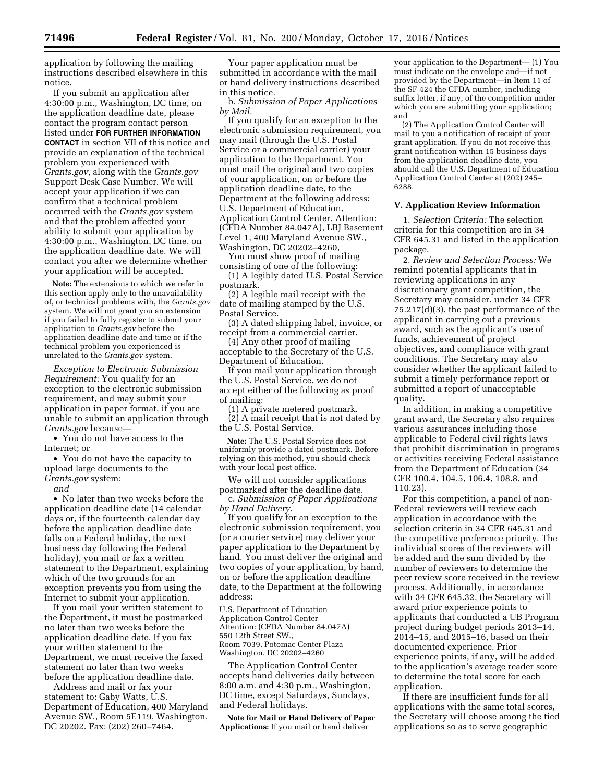application by following the mailing instructions described elsewhere in this notice.

If you submit an application after 4:30:00 p.m., Washington, DC time, on the application deadline date, please contact the program contact person listed under **FOR FURTHER INFORMATION CONTACT** in section VII of this notice and provide an explanation of the technical problem you experienced with *Grants.gov*, along with the *Grants.gov*  Support Desk Case Number. We will accept your application if we can confirm that a technical problem occurred with the *Grants.gov* system and that the problem affected your ability to submit your application by 4:30:00 p.m., Washington, DC time, on the application deadline date. We will contact you after we determine whether your application will be accepted.

**Note:** The extensions to which we refer in this section apply only to the unavailability of, or technical problems with, the *Grants.gov*  system. We will not grant you an extension if you failed to fully register to submit your application to *Grants.gov* before the application deadline date and time or if the technical problem you experienced is unrelated to the *Grants.gov* system.

*Exception to Electronic Submission Requirement:* You qualify for an exception to the electronic submission requirement, and may submit your application in paper format, if you are unable to submit an application through *Grants.gov* because—

• You do not have access to the Internet; or

• You do not have the capacity to upload large documents to the *Grants.gov* system;

*and* 

• No later than two weeks before the application deadline date (14 calendar days or, if the fourteenth calendar day before the application deadline date falls on a Federal holiday, the next business day following the Federal holiday), you mail or fax a written statement to the Department, explaining which of the two grounds for an exception prevents you from using the Internet to submit your application.

If you mail your written statement to the Department, it must be postmarked no later than two weeks before the application deadline date. If you fax your written statement to the Department, we must receive the faxed statement no later than two weeks before the application deadline date.

Address and mail or fax your statement to: Gaby Watts, U.S. Department of Education, 400 Maryland Avenue SW., Room 5E119, Washington, DC 20202. Fax: (202) 260–7464.

Your paper application must be submitted in accordance with the mail or hand delivery instructions described in this notice.

b. *Submission of Paper Applications by Mail.* 

If you qualify for an exception to the electronic submission requirement, you may mail (through the U.S. Postal Service or a commercial carrier) your application to the Department. You must mail the original and two copies of your application, on or before the application deadline date, to the Department at the following address: U.S. Department of Education, Application Control Center, Attention: (CFDA Number 84.047A), LBJ Basement Level 1, 400 Maryland Avenue SW., Washington, DC 20202–4260,

You must show proof of mailing consisting of one of the following:

(1) A legibly dated U.S. Postal Service postmark.

(2) A legible mail receipt with the date of mailing stamped by the U.S. Postal Service.

(3) A dated shipping label, invoice, or receipt from a commercial carrier.

(4) Any other proof of mailing acceptable to the Secretary of the U.S. Department of Education.

If you mail your application through the U.S. Postal Service, we do not accept either of the following as proof of mailing:

(1) A private metered postmark. (2) A mail receipt that is not dated by

the U.S. Postal Service.

**Note:** The U.S. Postal Service does not uniformly provide a dated postmark. Before relying on this method, you should check with your local post office.

We will not consider applications postmarked after the deadline date.

c. *Submission of Paper Applications by Hand Delivery.* 

If you qualify for an exception to the electronic submission requirement, you (or a courier service) may deliver your paper application to the Department by hand. You must deliver the original and two copies of your application, by hand, on or before the application deadline date, to the Department at the following address:

U.S. Department of Education Application Control Center Attention: (CFDA Number 84.047A) 550 12th Street SW., Room 7039, Potomac Center Plaza Washington, DC 20202–4260

The Application Control Center accepts hand deliveries daily between 8:00 a.m. and 4:30 p.m., Washington, DC time, except Saturdays, Sundays, and Federal holidays.

**Note for Mail or Hand Delivery of Paper Applications:** If you mail or hand deliver

your application to the Department— (1) You must indicate on the envelope and—if not provided by the Department—in Item 11 of the SF 424 the CFDA number, including suffix letter, if any, of the competition under which you are submitting your application; and

(2) The Application Control Center will mail to you a notification of receipt of your grant application. If you do not receive this grant notification within 15 business days from the application deadline date, you should call the U.S. Department of Education Application Control Center at (202) 245– 6288.

### **V. Application Review Information**

1. *Selection Criteria:* The selection criteria for this competition are in 34 CFR 645.31 and listed in the application package.

2. *Review and Selection Process:* We remind potential applicants that in reviewing applications in any discretionary grant competition, the Secretary may consider, under 34 CFR 75.217(d)(3), the past performance of the applicant in carrying out a previous award, such as the applicant's use of funds, achievement of project objectives, and compliance with grant conditions. The Secretary may also consider whether the applicant failed to submit a timely performance report or submitted a report of unacceptable quality.

In addition, in making a competitive grant award, the Secretary also requires various assurances including those applicable to Federal civil rights laws that prohibit discrimination in programs or activities receiving Federal assistance from the Department of Education (34 CFR 100.4, 104.5, 106.4, 108.8, and 110.23).

For this competition, a panel of non-Federal reviewers will review each application in accordance with the selection criteria in 34 CFR 645.31 and the competitive preference priority. The individual scores of the reviewers will be added and the sum divided by the number of reviewers to determine the peer review score received in the review process. Additionally, in accordance with 34 CFR 645.32, the Secretary will award prior experience points to applicants that conducted a UB Program project during budget periods 2013–14, 2014–15, and 2015–16, based on their documented experience. Prior experience points, if any, will be added to the application's average reader score to determine the total score for each application.

If there are insufficient funds for all applications with the same total scores, the Secretary will choose among the tied applications so as to serve geographic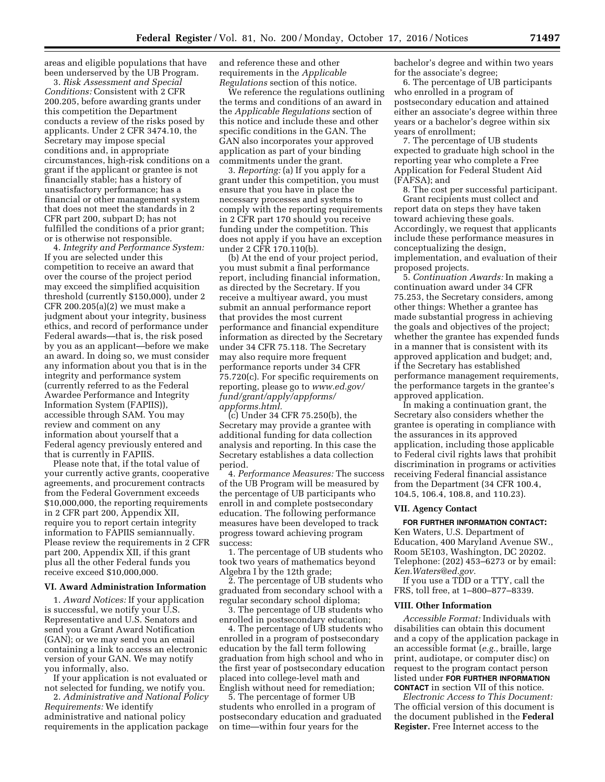areas and eligible populations that have been underserved by the UB Program.

3. *Risk Assessment and Special Conditions:* Consistent with 2 CFR 200.205, before awarding grants under this competition the Department conducts a review of the risks posed by applicants. Under 2 CFR 3474.10, the Secretary may impose special conditions and, in appropriate circumstances, high-risk conditions on a grant if the applicant or grantee is not financially stable; has a history of unsatisfactory performance; has a financial or other management system that does not meet the standards in 2 CFR part 200, subpart D; has not fulfilled the conditions of a prior grant; or is otherwise not responsible.

4. *Integrity and Performance System:*  If you are selected under this competition to receive an award that over the course of the project period may exceed the simplified acquisition threshold (currently \$150,000), under 2 CFR 200.205(a)(2) we must make a judgment about your integrity, business ethics, and record of performance under Federal awards—that is, the risk posed by you as an applicant—before we make an award. In doing so, we must consider any information about you that is in the integrity and performance system (currently referred to as the Federal Awardee Performance and Integrity Information System (FAPIIS)), accessible through SAM. You may review and comment on any information about yourself that a Federal agency previously entered and that is currently in FAPIIS.

Please note that, if the total value of your currently active grants, cooperative agreements, and procurement contracts from the Federal Government exceeds \$10,000,000, the reporting requirements in 2 CFR part 200, Appendix XII, require you to report certain integrity information to FAPIIS semiannually. Please review the requirements in 2 CFR part 200, Appendix XII, if this grant plus all the other Federal funds you receive exceed \$10,000,000.

### **VI. Award Administration Information**

1. *Award Notices:* If your application is successful, we notify your U.S. Representative and U.S. Senators and send you a Grant Award Notification (GAN); or we may send you an email containing a link to access an electronic version of your GAN. We may notify you informally, also.

If your application is not evaluated or not selected for funding, we notify you.

2. *Administrative and National Policy Requirements:* We identify administrative and national policy requirements in the application package and reference these and other requirements in the *Applicable Regulations* section of this notice.

We reference the regulations outlining the terms and conditions of an award in the *Applicable Regulations* section of this notice and include these and other specific conditions in the GAN. The GAN also incorporates your approved application as part of your binding commitments under the grant.

3. *Reporting:* (a) If you apply for a grant under this competition, you must ensure that you have in place the necessary processes and systems to comply with the reporting requirements in 2 CFR part 170 should you receive funding under the competition. This does not apply if you have an exception under 2 CFR 170.110(b).

(b) At the end of your project period, you must submit a final performance report, including financial information, as directed by the Secretary. If you receive a multiyear award, you must submit an annual performance report that provides the most current performance and financial expenditure information as directed by the Secretary under 34 CFR 75.118. The Secretary may also require more frequent performance reports under 34 CFR 75.720(c). For specific requirements on reporting, please go to *[www.ed.gov/](http://www.ed.gov/fund/grant/apply/appforms/appforms.html) [fund/grant/apply/appforms/](http://www.ed.gov/fund/grant/apply/appforms/appforms.html) [appforms.html.](http://www.ed.gov/fund/grant/apply/appforms/appforms.html)* 

(c) Under 34 CFR 75.250(b), the Secretary may provide a grantee with additional funding for data collection analysis and reporting. In this case the Secretary establishes a data collection period.

4. *Performance Measures:* The success of the UB Program will be measured by the percentage of UB participants who enroll in and complete postsecondary education. The following performance measures have been developed to track progress toward achieving program success:

1. The percentage of UB students who took two years of mathematics beyond Algebra I by the 12th grade;

2. The percentage of UB students who graduated from secondary school with a regular secondary school diploma;

3. The percentage of UB students who enrolled in postsecondary education;

4. The percentage of UB students who enrolled in a program of postsecondary education by the fall term following graduation from high school and who in the first year of postsecondary education placed into college-level math and English without need for remediation;

5. The percentage of former UB students who enrolled in a program of postsecondary education and graduated on time—within four years for the

bachelor's degree and within two years for the associate's degree;

6. The percentage of UB participants who enrolled in a program of postsecondary education and attained either an associate's degree within three years or a bachelor's degree within six years of enrollment;

7. The percentage of UB students expected to graduate high school in the reporting year who complete a Free Application for Federal Student Aid (FAFSA); and

8. The cost per successful participant. Grant recipients must collect and report data on steps they have taken toward achieving these goals. Accordingly, we request that applicants include these performance measures in conceptualizing the design, implementation, and evaluation of their proposed projects.

5. *Continuation Awards:* In making a continuation award under 34 CFR 75.253, the Secretary considers, among other things: Whether a grantee has made substantial progress in achieving the goals and objectives of the project; whether the grantee has expended funds in a manner that is consistent with its approved application and budget; and, if the Secretary has established performance management requirements, the performance targets in the grantee's approved application.

In making a continuation grant, the Secretary also considers whether the grantee is operating in compliance with the assurances in its approved application, including those applicable to Federal civil rights laws that prohibit discrimination in programs or activities receiving Federal financial assistance from the Department (34 CFR 100.4, 104.5, 106.4, 108.8, and 110.23).

## **VII. Agency Contact**

**FOR FURTHER INFORMATION CONTACT:**  Ken Waters, U.S. Department of Education, 400 Maryland Avenue SW., Room 5E103, Washington, DC 20202. Telephone: (202) 453–6273 or by email: *[Ken.Waters@ed.gov.](mailto:Ken.Waters@ed.gov)* 

If you use a TDD or a TTY, call the FRS, toll free, at 1–800–877–8339.

#### **VIII. Other Information**

*Accessible Format:* Individuals with disabilities can obtain this document and a copy of the application package in an accessible format (*e.g.,* braille, large print, audiotape, or computer disc) on request to the program contact person listed under **FOR FURTHER INFORMATION CONTACT** in section VII of this notice.

*Electronic Access to This Document:*  The official version of this document is the document published in the **Federal Register.** Free Internet access to the